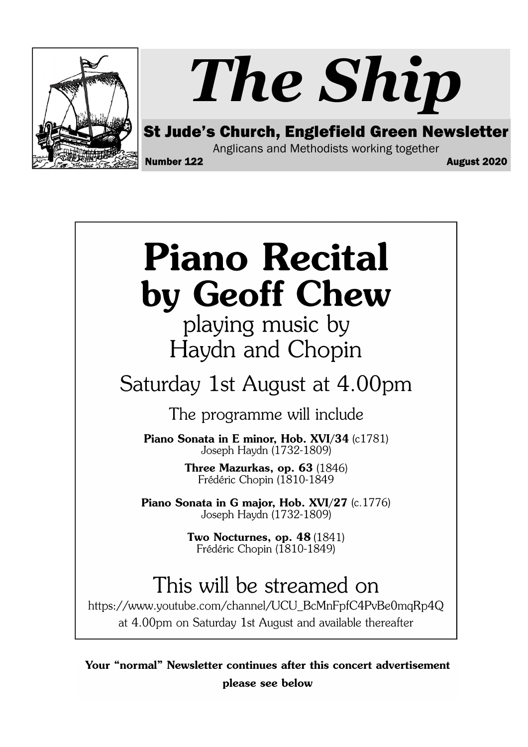

# The Ship

St Jude's Church, Englefield Green Newsletter

Anglicans and Methodists working together

Number 122 August 2020

# **Piano Recital** by Geoff Chew

playing music by Haydn and Chopin

### Saturday 1st August at 4.00pm

The programme will include

Piano Sonata in E minor, Hob. XVI/34 (c1781) Joseph Haydn (1732-1809)

> Three Mazurkas, op. 63 (1846) Frédéric Chopin (1810-1849

Piano Sonata in G major, Hob. XVI/27 (c.1776) Joseph Haydn (1732-1809)

> Two Nocturnes, op. 48 (1841) Frédéric Chopin (1810-1849)

## This will be streamed on

https://www.youtube.com/channel/UCU\_BcMnFpfC4PvBe0mqRp4Q at 4.00pm on Saturday 1st August and available thereafter

Your "normal" Newsletter continues after this concert advertisement please see below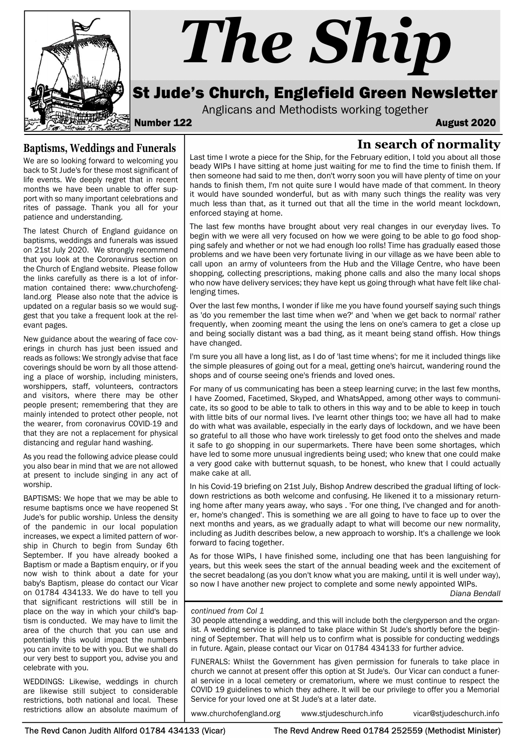

#### Baptisms, Weddings and Funerals

We are so looking forward to welcoming you back to St Jude's for these most significant of life events. We deeply regret that in recent months we have been unable to offer support with so many important celebrations and rites of passage. Thank you all for your patience and understanding.

The latest Church of England guidance on baptisms, weddings and funerals was issued on 21st July 2020. We strongly recommend that you look at the Coronavirus section on the Church of England website. Please follow the links carefully as there is a lot of information contained there: www.churchofengland.org Please also note that the advice is updated on a regular basis so we would suggest that you take a frequent look at the relevant pages.

New guidance about the wearing of face coverings in church has just been issued and reads as follows: We strongly advise that face coverings should be worn by all those attending a place of worship, including ministers, worshippers, staff, volunteers, contractors and visitors, where there may be other people present; remembering that they are mainly intended to protect other people, not the wearer, from coronavirus COVID-19 and that they are not a replacement for physical distancing and regular hand washing.

As you read the following advice please could you also bear in mind that we are not allowed at present to include singing in any act of worship.

BAPTISMS: We hope that we may be able to resume baptisms once we have reopened St Jude's for public worship. Unless the density of the pandemic in our local population increases, we expect a limited pattern of worship in Church to begin from Sunday 6th September. If you have already booked a Baptism or made a Baptism enquiry, or if you now wish to think about a date for your baby's Baptism, please do contact our Vicar on 01784 434133. We do have to tell you that significant restrictions will still be in place on the way in which your child's baptism is conducted. We may have to limit the area of the church that you can use and potentially this would impact the numbers you can invite to be with you. But we shall do our very best to support you, advise you and celebrate with you.

WEDDINGS: Likewise, weddings in church are likewise still subject to considerable restrictions, both national and local. These restrictions allow an absolute maximum of

Last time I wrote a piece for the Ship, for the February edition, I told you about all those beady WIPs I have sitting at home just waiting for me to find the time to finish them. If then someone had said to me then, don't worry soon you will have plenty of time on your hands to finish them, I'm not quite sure I would have made of that comment. In theory it would have sounded wonderful, but as with many such things the reality was very much less than that, as it turned out that all the time in the world meant lockdown, enforced staying at home.

The last few months have brought about very real changes in our everyday lives. To begin with we were all very focused on how we were going to be able to go food shopping safely and whether or not we had enough loo rolls! Time has gradually eased those problems and we have been very fortunate living in our village as we have been able to call upon an army of volunteers from the Hub and the Village Centre, who have been shopping, collecting prescriptions, making phone calls and also the many local shops who now have delivery services; they have kept us going through what have felt like challenging times.

Over the last few months, I wonder if like me you have found yourself saying such things as 'do you remember the last time when we?' and 'when we get back to normal' rather frequently, when zooming meant the using the lens on one's camera to get a close up and being socially distant was a bad thing, as it meant being stand offish. How things have changed.

I'm sure you all have a long list, as I do of 'last time whens'; for me it included things like the simple pleasures of going out for a meal, getting one's haircut, wandering round the shops and of course seeing one's friends and loved ones.

For many of us communicating has been a steep learning curve; in the last few months, I have Zoomed, Facetimed, Skyped, and WhatsApped, among other ways to communicate, its so good to be able to talk to others in this way and to be able to keep in touch with little bits of our normal lives. I've learnt other things too; we have all had to make do with what was available, especially in the early days of lockdown, and we have been so grateful to all those who have work tirelessly to get food onto the shelves and made it safe to go shopping in our supermarkets. There have been some shortages, which have led to some more unusual ingredients being used; who knew that one could make a very good cake with butternut squash, to be honest, who knew that I could actually make cake at all.

In his Covid-19 briefing on 21st July, Bishop Andrew described the gradual lifting of lockdown restrictions as both welcome and confusing. He likened it to a missionary returning home after many years away, who says . 'For one thing, I've changed and for another, home's changed'. This is something we are all going to have to face up to over the next months and years, as we gradually adapt to what will become our new normality, including as Judith describes below, a new approach to worship. It's a challenge we look forward to facing together.

As for those WIPs, I have finished some, including one that has been languishing for years, but this week sees the start of the annual beading week and the excitement of the secret beadalong (as you don't know what you are making, until it is well under way), so now I have another new project to complete and some newly appointed WIPs.

Diana Bendall

#### continued from Col 1

30 people attending a wedding, and this will include both the clergyperson and the organist. A wedding service is planned to take place within St Jude's shortly before the beginning of September. That will help us to confirm what is possible for conducting weddings in future. Again, please contact our Vicar on 01784 434133 for further advice.

FUNERALS: Whilst the Government has given permission for funerals to take place in church we cannot at present offer this option at St Jude's. Our Vicar can conduct a funeral service in a local cemetery or crematorium, where we must continue to respect the COVID 19 guidelines to which they adhere. It will be our privilege to offer you a Memorial Service for your loved one at St Jude's at a later date.

www.churchofengland.org www.stjudeschurch.info vicar@stjudeschurch.info

The Revd Canon Judith Allford 01784 434133 (Vicar) The Revd Andrew Reed 01784 252559 (Methodist Minister)